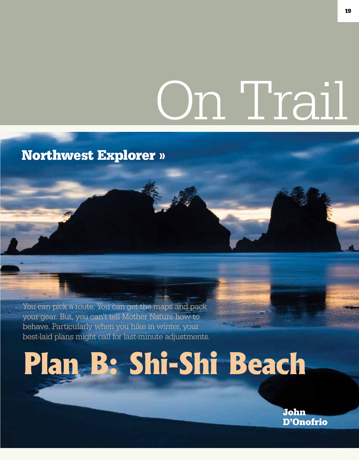## On Trail

## Northwest Explorer »

You can pick a route. You can get the maps and pack your gear. But, you can't tell Mother Nature how to behave. Particularly when you hike in winter, your best-laid plans might call for last-minute adjustments.

## **Plan B: Shi-Shi Beach**

John D'Onofrio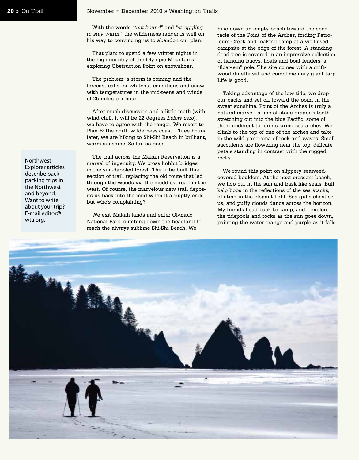With the words "tent-bound" and "struggling to stay warm," the wilderness ranger is well on his way to convincing us to abandon our plan.

That plan: to spend a few winter nights in the high country of the Olympic Mountains, exploring Obstruction Point on snowshoes.

The problem: a storm is coming and the forecast calls for whiteout conditions and snow with temperatures in the mid-teens and winds of 25 miles per hour.

After much discussion and a little math (with wind chill, it will be 22 degrees below zero), we have to agree with the ranger. We resort to Plan B: the north wilderness coast. Three hours later, we are hiking to Shi-Shi Beach in brilliant, warm sunshine. So far, so good.

The trail across the Makah Reservation is a marvel of ingenuity. We cross hobbit bridges in the sun-dappled forest. The tribe built this section of trail, replacing the old route that led through the woods via the muddiest road in the west. Of course, the marvelous new trail deposits us back into the mud when it abruptly ends, but who's complaining?

We exit Makah lands and enter Olympic National Park, climbing down the headland to reach the always sublime Shi-Shi Beach. We

hike down an empty beach toward the spectacle of the Point of the Arches, fording Petroleum Creek and making camp at a well-used campsite at the edge of the forest. A standing dead tree is covered in an impressive collection of hanging buoys, floats and boat fenders; a "float-'em" pole. The site comes with a driftwood dinette set and complimentary giant tarp. Life is good.

Taking advantage of the low tide, we drop our packs and set off toward the point in the sweet sunshine. Point of the Arches is truly a natural marvel—a line of stone dragon's teeth stretching out into the blue Pacific, some of them undercut to form soaring sea arches. We climb to the top of one of the arches and take in the wild panorama of rock and waves. Small succulents are flowering near the top, delicate petals standing in contrast with the rugged rocks.

We round this point on slippery seaweedcovered boulders. At the next crescent beach, we flop out in the sun and bask like seals. Bull kelp bobs in the reflections of the sea stacks, glinting in the elegant light. Sea gulls chastise us, and puffy clouds dance across the horizon. My friends head back to camp, and I explore the tidepools and rocks as the sun goes down, painting the water orange and purple as it falls.



Northwest Explorer articles describe backpacking trips in the Northwest and beyond. Want to write about your trip? E-mail editor@ wta.org.